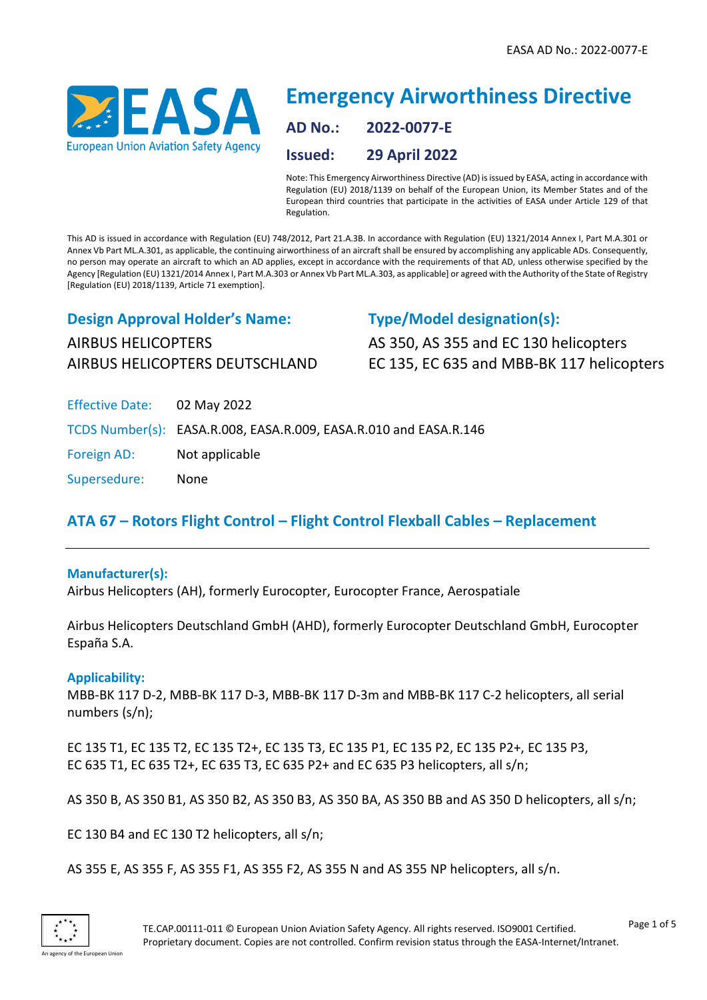

# **Emergency Airworthiness Directive AD No.: 2022-0077-E Issued: 29 April 2022**

Note: This Emergency Airworthiness Directive (AD) is issued by EASA, acting in accordance with Regulation (EU) 2018/1139 on behalf of the European Union, its Member States and of the European third countries that participate in the activities of EASA under Article 129 of that Regulation.

This AD is issued in accordance with Regulation (EU) 748/2012, Part 21.A.3B. In accordance with Regulation (EU) 1321/2014 Annex I, Part M.A.301 or Annex Vb Part ML.A.301, as applicable, the continuing airworthiness of an aircraft shall be ensured by accomplishing any applicable ADs. Consequently, no person may operate an aircraft to which an AD applies, except in accordance with the requirements of that AD, unless otherwise specified by the Agency [Regulation (EU) 1321/2014 Annex I, Part M.A.303 or Annex Vb Part ML.A.303, as applicable] or agreed with the Authority of the State of Registry [Regulation (EU) 2018/1139, Article 71 exemption].

## **Design Approval Holder's Name:** AIRBUS HELICOPTERS AIRBUS HELICOPTERS DEUTSCHLAND

### **Type/Model designation(s):**

AS 350, AS 355 and EC 130 helicopters EC 135, EC 635 and MBB-BK 117 helicopters

| Effective Date: 02 May 2022 |                                                                   |
|-----------------------------|-------------------------------------------------------------------|
|                             | TCDS Number(s): EASA.R.008, EASA.R.009, EASA.R.010 and EASA.R.146 |
| Foreign AD:                 | Not applicable                                                    |
| Supersedure:                | None                                                              |

## **ATA 67 – Rotors Flight Control – Flight Control Flexball Cables – Replacement**

#### **Manufacturer(s):**

Airbus Helicopters (AH), formerly Eurocopter, Eurocopter France, Aerospatiale

Airbus Helicopters Deutschland GmbH (AHD), formerly Eurocopter Deutschland GmbH, Eurocopter España S.A.

#### **Applicability:**

MBB-BK 117 D-2, MBB-BK 117 D-3, MBB-BK 117 D-3m and MBB-BK 117 C-2 helicopters, all serial numbers (s/n);

EC 135 T1, EC 135 T2, EC 135 T2+, EC 135 T3, EC 135 P1, EC 135 P2, EC 135 P2+, EC 135 P3, EC 635 T1, EC 635 T2+, EC 635 T3, EC 635 P2+ and EC 635 P3 helicopters, all s/n;

AS 350 B, AS 350 B1, AS 350 B2, AS 350 B3, AS 350 BA, AS 350 BB and AS 350 D helicopters, all s/n;

EC 130 B4 and EC 130 T2 helicopters, all s/n;

AS 355 E, AS 355 F, AS 355 F1, AS 355 F2, AS 355 N and AS 355 NP helicopters, all s/n.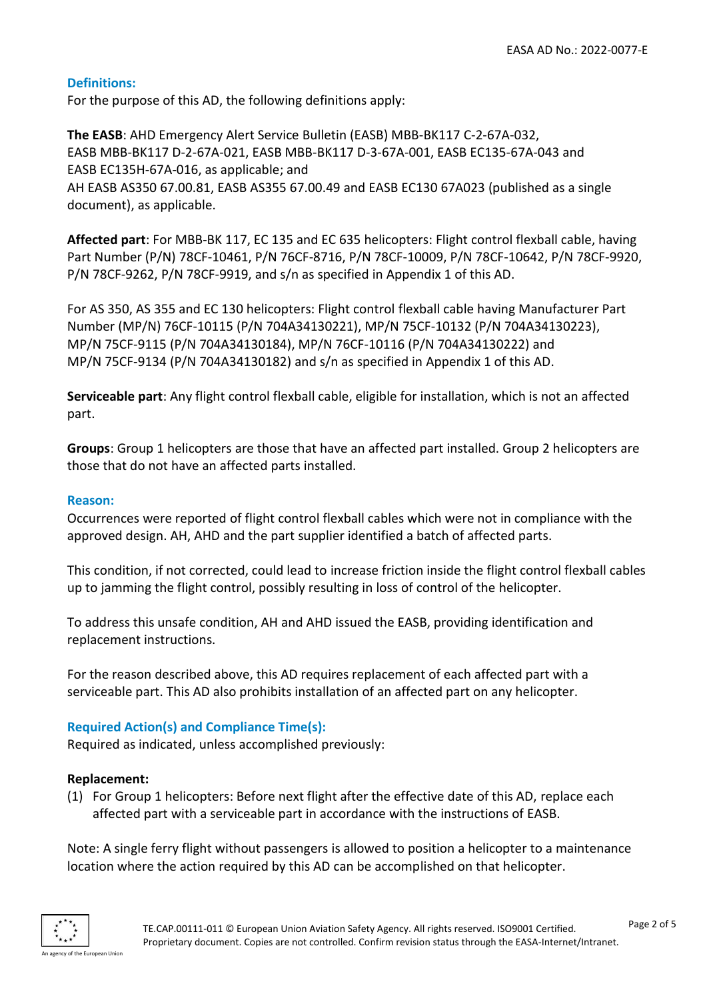#### **Definitions:**

For the purpose of this AD, the following definitions apply:

**The EASB**: AHD Emergency Alert Service Bulletin (EASB) MBB-BK117 C-2-67A-032, EASB MBB-BK117 D-2-67A-021, EASB MBB-BK117 D-3-67A-001, EASB EC135-67A-043 and EASB EC135H-67A-016, as applicable; and AH EASB AS350 67.00.81, EASB AS355 67.00.49 and EASB EC130 67A023 (published as a single document), as applicable.

**Affected part**: For MBB-BK 117, EC 135 and EC 635 helicopters: Flight control flexball cable, having Part Number (P/N) 78CF-10461, P/N 76CF-8716, P/N 78CF-10009, P/N 78CF-10642, P/N 78CF-9920, P/N 78CF-9262, P/N 78CF-9919, and s/n as specified in Appendix 1 of this AD.

For AS 350, AS 355 and EC 130 helicopters: Flight control flexball cable having Manufacturer Part Number (MP/N) 76CF-10115 (P/N 704A34130221), MP/N 75CF-10132 (P/N 704A34130223), MP/N 75CF-9115 (P/N 704A34130184), MP/N 76CF-10116 (P/N 704A34130222) and MP/N 75CF-9134 (P/N 704A34130182) and s/n as specified in Appendix 1 of this AD.

**Serviceable part**: Any flight control flexball cable, eligible for installation, which is not an affected part.

**Groups**: Group 1 helicopters are those that have an affected part installed. Group 2 helicopters are those that do not have an affected parts installed.

#### **Reason:**

Occurrences were reported of flight control flexball cables which were not in compliance with the approved design. AH, AHD and the part supplier identified a batch of affected parts.

This condition, if not corrected, could lead to increase friction inside the flight control flexball cables up to jamming the flight control, possibly resulting in loss of control of the helicopter.

To address this unsafe condition, AH and AHD issued the EASB, providing identification and replacement instructions.

For the reason described above, this AD requires replacement of each affected part with a serviceable part. This AD also prohibits installation of an affected part on any helicopter.

#### **Required Action(s) and Compliance Time(s):**

Required as indicated, unless accomplished previously:

#### **Replacement:**

(1) For Group 1 helicopters: Before next flight after the effective date of this AD, replace each affected part with a serviceable part in accordance with the instructions of EASB.

Note: A single ferry flight without passengers is allowed to position a helicopter to a maintenance location where the action required by this AD can be accomplished on that helicopter.

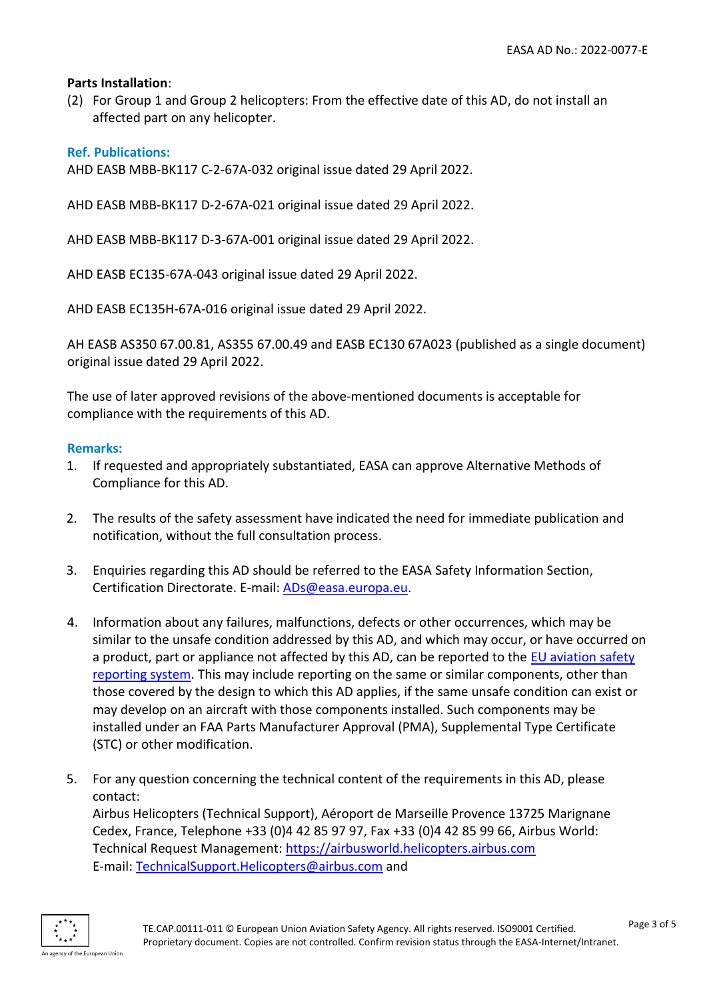#### **Parts Installation**:

(2) For Group 1 and Group 2 helicopters: From the effective date of this AD, do not install an affected part on any helicopter.

#### **Ref. Publications:**

AHD EASB MBB-BK117 C-2-67A-032 original issue dated 29 April 2022.

AHD EASB MBB-BK117 D-2-67A-021 original issue dated 29 April 2022.

AHD EASB MBB-BK117 D-3-67A-001 original issue dated 29 April 2022.

AHD EASB EC135-67A-043 original issue dated 29 April 2022.

AHD EASB EC135H-67A-016 original issue dated 29 April 2022.

AH EASB AS350 67.00.81, AS355 67.00.49 and EASB EC130 67A023 (published as a single document) original issue dated 29 April 2022.

The use of later approved revisions of the above-mentioned documents is acceptable for compliance with the requirements of this AD.

#### **Remarks:**

- 1. If requested and appropriately substantiated, EASA can approve Alternative Methods of Compliance for this AD.
- 2. The results of the safety assessment have indicated the need for immediate publication and notification, without the full consultation process.
- 3. Enquiries regarding this AD should be referred to the EASA Safety Information Section, Certification Directorate. E-mail: [ADs@easa.europa.eu.](mailto:ADs@easa.europa.eu)
- 4. Information about any failures, malfunctions, defects or other occurrences, which may be similar to the unsafe condition addressed by this AD, and which may occur, or have occurred on a product, part or appliance not affected by this AD, can be reported to the EU aviation safety [reporting system.](https://e2.aviationreporting.eu/reporting) This may include reporting on the same or similar components, other than those covered by the design to which this AD applies, if the same unsafe condition can exist or may develop on an aircraft with those components installed. Such components may be installed under an FAA Parts Manufacturer Approval (PMA), Supplemental Type Certificate (STC) or other modification.
- 5. For any question concerning the technical content of the requirements in this AD, please contact:

Airbus Helicopters (Technical Support), Aéroport de Marseille Provence 13725 Marignane Cedex, France, Telephone +33 (0)4 42 85 97 97, Fax +33 (0)4 42 85 99 66, Airbus World: Technical Request Management: [https://airbusworld.helicopters.airbus.com](https://airbusworld.helicopters.airbus.com/) E-mail: [TechnicalSupport.Helicopters@airbus.com](mailto:TechnicalSupport.Helicopters@airbus.com) and

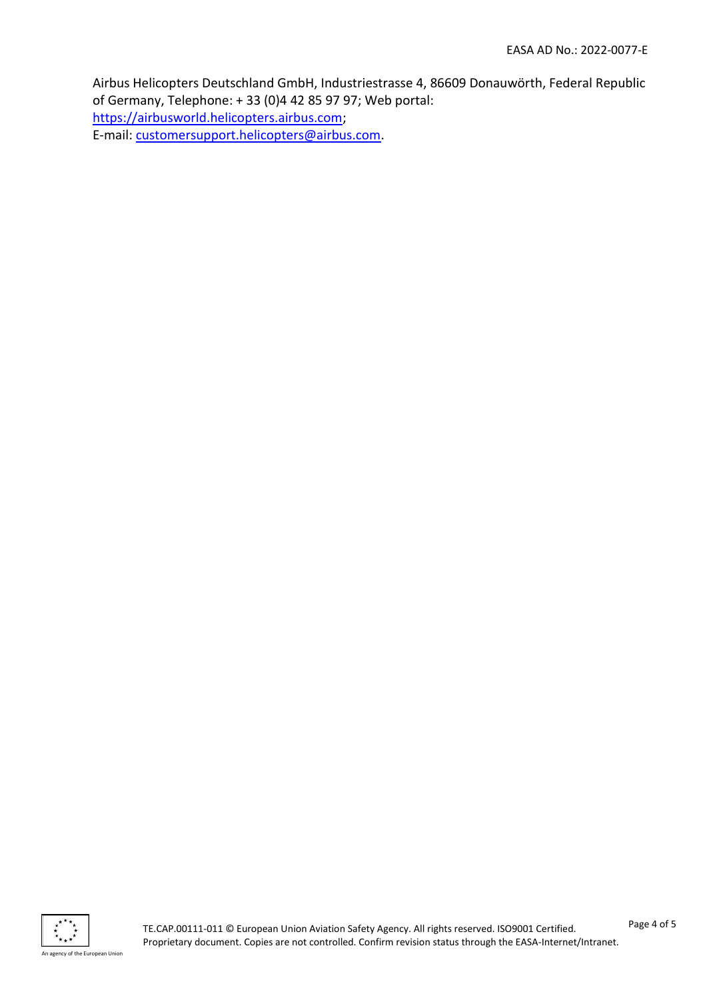Airbus Helicopters Deutschland GmbH, Industriestrasse 4, 86609 Donauwörth, Federal Republic of Germany, Telephone: + 33 (0)4 42 85 97 97; Web portal: [https://airbusworld.helicopters.airbus.com;](https://airbusworld.helicopters.airbus.com/) E-mail: [customersupport.helicopters@airbus.com.](mailto:customersupport.helicopters@airbus.com)